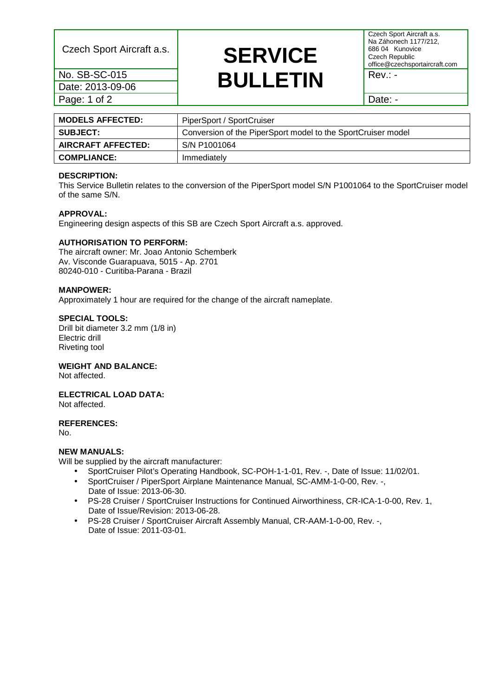Date: 2013-09-06 Page: 1 of 2 Date: -

## Czech Sport Aircraft a.s. **SERVICE** <u>No. SB-SC-015</u><br>Date: 2013-09-06 **BULLETIN** <sup>Rev.: -</sup>

Czech Sport Aircraft a.s. Na Záhonech 1177/212, 686 04 Kunovice Czech Republic office@czechsportaircraft.com

| <b>MODELS AFFECTED:</b> | PiperSport / SportCruiser                                    |
|-------------------------|--------------------------------------------------------------|
| <b>SUBJECT:</b>         | Conversion of the PiperSport model to the SportCruiser model |
| AIRCRAFT AFFECTED:      | S/N P1001064                                                 |
| <b>COMPLIANCE:</b>      | Immediately                                                  |
|                         |                                                              |

## **DESCRIPTION:**

This Service Bulletin relates to the conversion of the PiperSport model S/N P1001064 to the SportCruiser model of the same S/N.

## **APPROVAL:**

Engineering design aspects of this SB are Czech Sport Aircraft a.s. approved.

## **AUTHORISATION TO PERFORM:**

The aircraft owner: Mr. Joao Antonio Schemberk Av. Visconde Guarapuava, 5015 - Ap. 2701 80240-010 - Curitiba-Parana - Brazil

## **MANPOWER:**

Approximately 1 hour are required for the change of the aircraft nameplate.

## **SPECIAL TOOLS:**

Drill bit diameter 3.2 mm (1/8 in) Electric drill Riveting tool

## **WEIGHT AND BALANCE:**

Not affected.

#### **ELECTRICAL LOAD DATA:**  Not affected.

## **REFERENCES:**

No.

## **NEW MANUALS:**

Will be supplied by the aircraft manufacturer:

- SportCruiser Pilot's Operating Handbook, SC-POH-1-1-01, Rev. -, Date of Issue: 11/02/01.
- SportCruiser / PiperSport Airplane Maintenance Manual, SC-AMM-1-0-00, Rev. -, Date of Issue: 2013-06-30.
- PS-28 Cruiser / SportCruiser Instructions for Continued Airworthiness, CR-ICA-1-0-00, Rev. 1, Date of Issue/Revision: 2013-06-28.
- PS-28 Cruiser / SportCruiser Aircraft Assembly Manual, CR-AAM-1-0-00, Rev. -, Date of Issue: 2011-03-01.